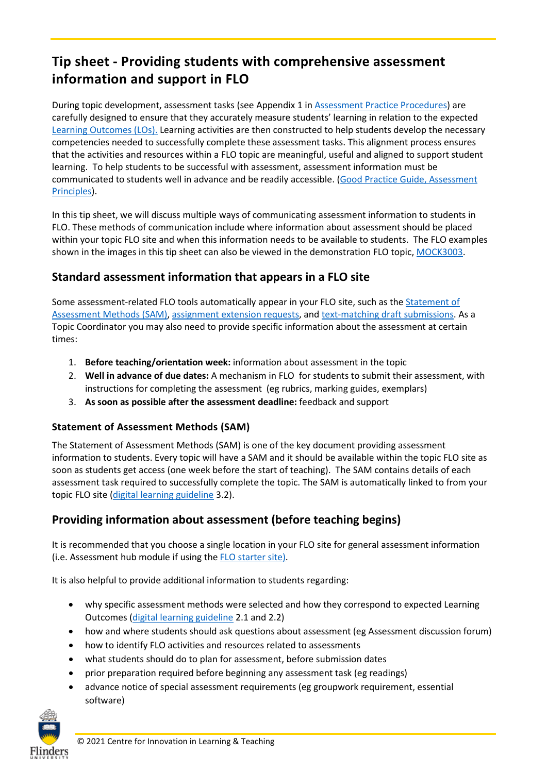# **Tip sheet - Providing students with comprehensive assessment information and support in FLO**

During topic development, assessment tasks (see Appendix 1 i[n Assessment Practice Procedures\)](https://www.flinders.edu.au/content/dam/documents/staff/policies/academic-students/assessment-practice-procedures.pdf) are carefully designed to ensure that they accurately measure students' learning in relation to the expected [Learning Outcomes](https://staff.flinders.edu.au/learning-teaching/good-practice-guides/gpg-learning-outcomes) (LOs[\).](https://staff.flinders.edu.au/learning-teaching/good-practice-guides/gpg-learning-outcomes) Learning activities are then constructed to help students develop the necessary competencies needed to successfully complete these assessment tasks. This alignment process ensures that the activities and resources within a FLO topic are meaningful, useful and aligned to support student learning. To help students to be successful with assessment, assessment information must be communicated to students well in advance and be readily accessible. (Good Practice Guide, Assessment [Principles\)](https://staff.flinders.edu.au/learning-teaching/good-practice-guides/gpg-assessment).

In this tip sheet, we will discuss multiple ways of communicating assessment information to students in FLO. These methods of communication include where information about assessment should be placed within your topic FLO site and when this information needs to be available to students. The FLO examples shown in the images in this tip sheet can also be viewed in the demonstration FLO topic, [MOCK3003.](https://flo.flinders.edu.au/course/view.php?id=68880)

### **Standard assessment information that appears in a FLO site**

Some assessment-related FLO tools automatically appear in your FLO site, such as the [Statement of](https://flo.flinders.edu.au/mod/glossary/showentry.php?courseid=151&eid=104522&displayformat=dictionary)  [Assessment Methods \(SAM\),](https://flo.flinders.edu.au/mod/glossary/showentry.php?courseid=151&eid=104522&displayformat=dictionary) [assignment extension requests,](https://flo.flinders.edu.au/mod/glossary/showentry.php?courseid=151&eid=70431&displayformat=dictionary) and [text-matching draft submissions.](https://flo.flinders.edu.au/mod/glossary/showentry.php?courseid=151&eid=93445&displayformat=dictionary) As a Topic Coordinator you may also need to provide specific information about the assessment at certain times:

- 1. **Before teaching/orientation week:** information about assessment in the topic
- 2. **Well in advance of due dates:** A mechanism in FLO for students to submit their assessment, with instructions for completing the assessment (eg rubrics, marking guides, exemplars)
- 3. **As soon as possible after the assessment deadline:** feedback and support

#### **Statement of Assessment Methods (SAM)**

The Statement of Assessment Methods (SAM) is one of the key document providing assessment information to students. Every topic will have a SAM and it should be available within the topic FLO site as soon as students get access (one week before the start of teaching). The SAM contains details of each assessment task required to successfully complete the topic. The SAM is automatically linked to from your topic FLO site [\(digital learning guideline](https://staff.flinders.edu.au/learning-teaching/digital-learning) 3.2).

## **Providing information about assessment (before teaching begins)**

It is recommended that you choose a single location in your FLO site for general assessment information (i.e. Assessment hub module if using th[e FLO starter site\)](https://staff.flinders.edu.au/learning-teaching/starter-site).

It is also helpful to provide additional information to students regarding:

- why specific assessment methods were selected and how they correspond to expected Learning Outcomes [\(digital learning guideline](https://staff.flinders.edu.au/learning-teaching/digital-learning) 2.1 and 2.2)
- how and where students should ask questions about assessment (eg Assessment discussion forum)
- how to identify FLO activities and resources related to assessments
- what students should do to plan for assessment, before submission dates
- prior preparation required before beginning any assessment task (eg readings)
- advance notice of special assessment requirements (eg groupwork requirement, essential software)

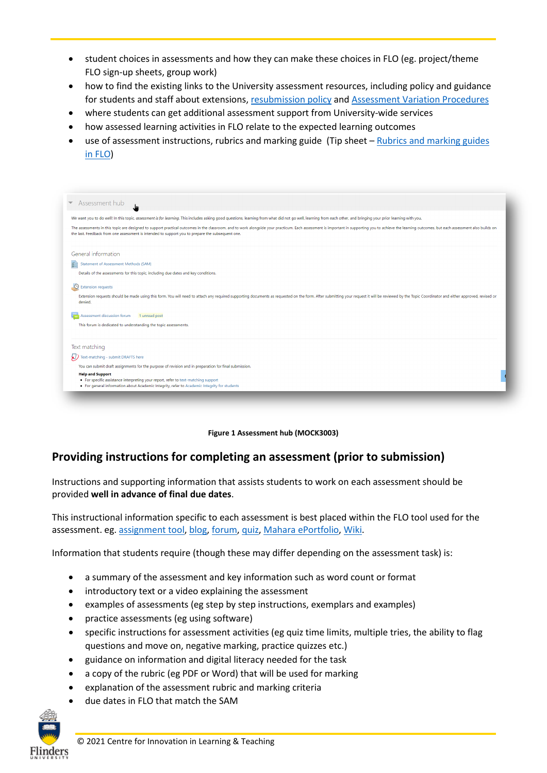- student choices in assessments and how they can make these choices in FLO (eg. project/theme FLO sign-up sheets, group work)
- how to find the existing links to the University assessment resources, including policy and guidance for students and staff about extensions, [resubmission policy](https://students.flinders.edu.au/my-course/exams-assess-results/resubmission) and [Assessment Variation Procedures](https://students.flinders.edu.au/my-course/exams-assess-results/resubmission)
- where students can get additional assessment support from University-wide services
- how assessed learning activities in FLO relate to the expected learning outcomes
- use of assessment instructions, rubrics and marking guide (Tip sheet Rubrics and marking guides [in FLO\)](https://staff.flinders.edu.au/content/dam/staff/learning-teaching/guides/rubrics-marking-guides-flo.pdf)

| We want you to do well! In this topic, assessment is for learning. This includes asking good questions, learning from what did not go well, learning from each other, and bringing your prior learning with you. |                                                                                                                                                                                                                                |
|------------------------------------------------------------------------------------------------------------------------------------------------------------------------------------------------------------------|--------------------------------------------------------------------------------------------------------------------------------------------------------------------------------------------------------------------------------|
| the last. Feedback from one assessment is intended to support you to prepare the subsequent one.                                                                                                                 | The assessments in this topic are designed to support practical outcomes in the classroom, and to work alongside your practicum. Each assessment is important in supporting you to achieve the learning outcomes, but each ass |
| General information                                                                                                                                                                                              |                                                                                                                                                                                                                                |
| <b>Statement of Assessment Methods (SAM)</b><br>इने                                                                                                                                                              |                                                                                                                                                                                                                                |
| Details of the assessments for this topic, including due dates and key conditions.                                                                                                                               |                                                                                                                                                                                                                                |
| $\circ$<br><b>Extension requests</b>                                                                                                                                                                             |                                                                                                                                                                                                                                |
| denied.                                                                                                                                                                                                          | Extension requests should be made using this form. You will need to attach any required supporting documents as requested on the form. After submitting your request it will be reviewed by the Topic Coordinator and either a |
| Assessment discussion forum<br>1 unread post                                                                                                                                                                     |                                                                                                                                                                                                                                |
| This forum is dedicated to understanding the topic assessments.                                                                                                                                                  |                                                                                                                                                                                                                                |
| Text matching                                                                                                                                                                                                    |                                                                                                                                                                                                                                |
| Text-matching - submit DRAFTS here                                                                                                                                                                               |                                                                                                                                                                                                                                |
| You can submit draft assignments for the purpose of revision and in preparation for final submission.                                                                                                            |                                                                                                                                                                                                                                |
| <b>Help and Support</b><br>. For specific assistance interpreting your report, refer to text-matching support                                                                                                    |                                                                                                                                                                                                                                |
| . For general information about Academic Integrity, refer to Academic Integrity for students                                                                                                                     |                                                                                                                                                                                                                                |



### **Providing instructions for completing an assessment (prior to submission)**

Instructions and supporting information that assists students to work on each assessment should be provided **well in advance of final due dates**.

This instructional information specific to each assessment is best placed within the FLO tool used for the assessment. eg[. assignment tool,](https://flo.flinders.edu.au/mod/glossary/showentry.php?courseid=151&eid=52601&displayformat=dictionary) [blog,](https://flo.flinders.edu.au/mod/glossary/showentry.php?courseid=151&eid=55773&displayformat=dictionary) [forum,](https://flo.flinders.edu.au/mod/glossary/showentry.php?courseid=151&eid=87158&displayformat=dictionary) [quiz,](https://flo.flinders.edu.au/mod/glossary/showentry.php?courseid=151&eid=52088&displayformat=dictionary) [Mahara ePortfolio,](https://flo.flinders.edu.au/mod/glossary/showentry.php?courseid=151&eid=87159&displayformat=dictionary) [Wiki.](https://flo.flinders.edu.au/mod/glossary/showentry.php?courseid=151&eid=96505&displayformat=dictionary)

Information that students require (though these may differ depending on the assessment task) is:

- a summary of the assessment and key information such as word count or format
- introductory text or a video explaining the assessment
- examples of assessments (eg step by step instructions, exemplars and examples)
- practice assessments (eg using software)
- specific instructions for assessment activities (eg quiz time limits, multiple tries, the ability to flag questions and move on, negative marking, practice quizzes etc.)
- guidance on information and digital literacy needed for the task
- a copy of the rubric (eg PDF or Word) that will be used for marking
- explanation of the assessment rubric and marking criteria
- due dates in FLO that match the SAM

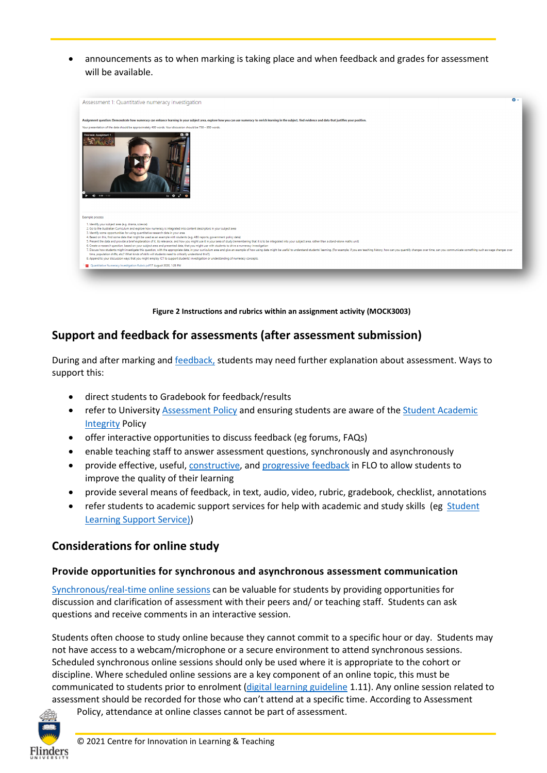• announcements as to when marking is taking place and when feedback and grades for assessment will be available.



**Figure 2 Instructions and rubrics within an assignment activity (MOCK3003)**

#### **Support and feedback for assessments (after assessment submission)**

During and after marking an[d feedback,](https://staff.flinders.edu.au/learning-teaching/good-practice-guides/gpg-feedback) students may need further explanation about assessment. Ways to support this:

- direct students to Gradebook for feedback/results
- refer to University [Assessment Policy](https://www.flinders.edu.au/content/dam/documents/staff/policies/academic-students/assessment-policy.pdf) and ensuring students are aware of the Student Academic [Integrity](https://www.flinders.edu.au/content/dam/documents/staff/policies/academic-students/student-academic-integrity-policy.pdf) Policy
- offer interactive opportunities to discuss feedback (eg forums, FAQs)
- enable teaching staff to answer assessment questions, synchronously and asynchronously
- provide effective, useful, [constructive,](https://staff.flinders.edu.au/content/dam/staff/learning-teaching/guides/constructive-feedback.pdf) an[d progressive feedback](https://staff.flinders.edu.au/learning-teaching/good-practice-guides/gpg-feedback) in FLO to allow students to improve the quality of their learning
- provide several means of feedback, in text, audio, video, rubric, gradebook, checklist, annotations
- refer students to academic support services for help with academic and study skills (eg Student [Learning Support Service\)](https://students.flinders.edu.au/support/slss))

#### **Considerations for online study**

#### **Provide opportunities for synchronous and asynchronous assessment communication**

[Synchronous/real-time](https://staff.flinders.edu.au/content/dam/staff/learning-teaching/guides/students-synchronous-sessions.pdf) online [sessions](https://staff.flinders.edu.au/content/dam/staff/learning-teaching/guides/students-synchronous-sessions.pdf) can be valuable for students by providing opportunities for discussion and clarification of assessment with their peers and/ or teaching staff. Students can ask questions and receive comments in an interactive session.

Students often choose to study online because they cannot commit to a specific hour or day. Students may not have access to a webcam/microphone or a secure environment to attend synchronous sessions. Scheduled synchronous online sessions should only be used where it is appropriate to the cohort or discipline. Where scheduled online sessions are a key component of an online topic, this must be communicated to students prior to enrolment (digital learning guideline 1.11). Any online session related to assessment should be recorded for those who can't attend at a specific time. According to Assessment